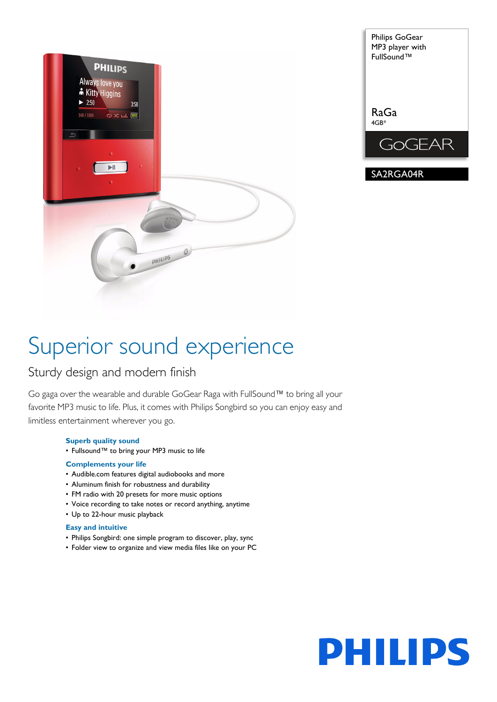



# Superior sound experience

## Sturdy design and modern finish

Go gaga over the wearable and durable GoGear Raga with FullSound™ to bring all your favorite MP3 music to life. Plus, it comes with Philips Songbird so you can enjoy easy and limitless entertainment wherever you go.

## **Superb quality sound**

• Fullsound™ to bring your MP3 music to life

## **Complements your life**

- Audible.com features digital audiobooks and more
- Aluminum finish for robustness and durability
- FM radio with 20 presets for more music options
- Voice recording to take notes or record anything, anytime
- Up to 22-hour music playback

## **Easy and intuitive**

- Philips Songbird: one simple program to discover, play, sync
- Folder view to organize and view media files like on your PC

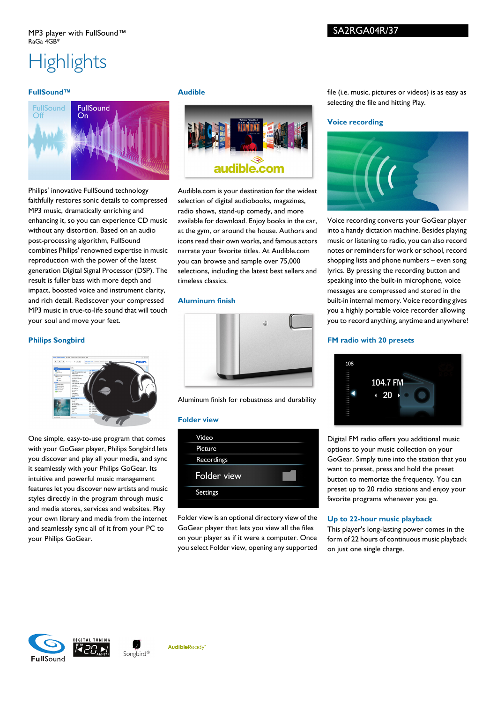## **Highlights**

## **FullSound™**



Philips' innovative FullSound technology faithfully restores sonic details to compressed MP3 music, dramatically enriching and enhancing it, so you can experience CD music without any distortion. Based on an audio post-processing algorithm, FullSound combines Philips' renowned expertise in music reproduction with the power of the latest generation Digital Signal Processor (DSP). The result is fuller bass with more depth and impact, boosted voice and instrument clarity, and rich detail. Rediscover your compressed MP3 music in true-to-life sound that will touch your soul and move your feet.

## **Philips Songbird**



One simple, easy-to-use program that comes with your GoGear player, Philips Songbird lets you discover and play all your media, and sync it seamlessly with your Philips GoGear. Its intuitive and powerful music management features let you discover new artists and music styles directly in the program through music and media stores, services and websites. Play your own library and media from the internet and seamlessly sync all of it from your PC to your Philips GoGear.

#### **Audible**



Audible.com is your destination for the widest selection of digital audiobooks, magazines, radio shows, stand-up comedy, and more available for download. Enjoy books in the car, at the gym, or around the house. Authors and icons read their own works, and famous actors narrate your favorite titles. At Audible.com you can browse and sample over 75,000 selections, including the latest best sellers and timeless classics.

## **Aluminum finish**



Aluminum finish for robustness and durability

#### **Folder view**



Folder view is an optional directory view of the GoGear player that lets you view all the files on your player as if it were a computer. Once you select Folder view, opening any supported

file (i.e. music, pictures or videos) is as easy as selecting the file and hitting Play.

## **Voice recording**



Voice recording converts your GoGear player into a handy dictation machine. Besides playing music or listening to radio, you can also record notes or reminders for work or school, record shopping lists and phone numbers – even song lyrics. By pressing the recording button and speaking into the built-in microphone, voice messages are compressed and stored in the built-in internal memory. Voice recording gives you a highly portable voice recorder allowing you to record anything, anytime and anywhere!

## **FM radio with 20 presets**



Digital FM radio offers you additional music options to your music collection on your GoGear. Simply tune into the station that you want to preset, press and hold the preset button to memorize the frequency. You can preset up to 20 radio stations and enjoy your favorite programs whenever you go.

#### **Up to 22-hour music playback**

This player's long-lasting power comes in the form of 22 hours of continuous music playback on just one single charge.